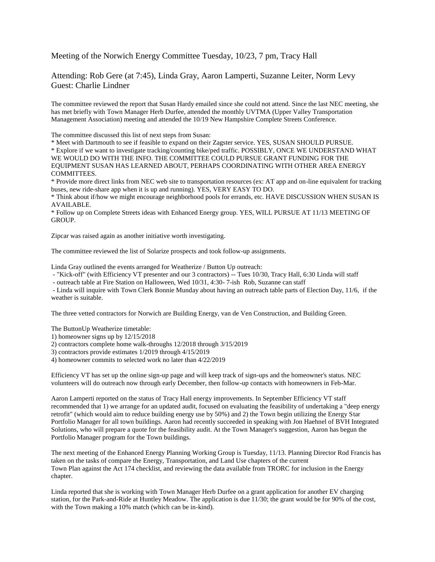Meeting of the Norwich Energy Committee Tuesday, 10/23, 7 pm, Tracy Hall

Attending: Rob Gere (at 7:45), Linda Gray, Aaron Lamperti, Suzanne Leiter, Norm Levy Guest: Charlie Lindner

The committee reviewed the report that Susan Hardy emailed since she could not attend. Since the last NEC meeting, she has met briefly with Town Manager Herb Durfee, attended the monthly UVTMA (Upper Valley Transportation Management Association) meeting and attended the 10/19 New Hampshire Complete Streets Conference.

The committee discussed this list of next steps from Susan:

\* Meet with Dartmouth to see if feasible to expand on their Zagster service. YES, SUSAN SHOULD PURSUE.

\* Explore if we want to investigate tracking/counting bike/ped traffic. POSSIBLY, ONCE WE UNDERSTAND WHAT WE WOULD DO WITH THE INFO. THE COMMITTEE COULD PURSUE GRANT FUNDING FOR THE EQUIPMENT SUSAN HAS LEARNED ABOUT, PERHAPS COORDINATING WITH OTHER AREA ENERGY COMMITTEES.

\* Provide more direct links from NEC web site to transportation resources (ex: AT app and on-line equivalent for tracking buses, new ride-share app when it is up and running). YES, VERY EASY TO DO.

\* Think about if/how we might encourage neighborhood pools for errands, etc. HAVE DISCUSSION WHEN SUSAN IS AVAILABLE.

\* Follow up on Complete Streets ideas with Enhanced Energy group. YES, WILL PURSUE AT 11/13 MEETING OF GROUP.

Zipcar was raised again as another initiative worth investigating.

The committee reviewed the list of Solarize prospects and took follow-up assignments.

Linda Gray outlined the events arranged for Weatherize / Button Up outreach:

- "Kick-off" (with Efficiency VT presenter and our 3 contractors) -- Tues 10/30, Tracy Hall, 6:30 Linda will staff

- outreach table at Fire Station on Halloween, Wed 10/31, 4:30- 7-ish Rob, Suzanne can staff

- Linda will inquire with Town Clerk Bonnie Munday about having an outreach table parts of Election Day, 11/6, if the weather is suitable.

The three vetted contractors for Norwich are Building Energy, van de Ven Construction, and Building Green.

The ButtonUp Weatherize timetable:

1) homeowner signs up by 12/15/2018

2) contractors complete home walk-throughs 12/2018 through 3/15/2019

3) contractors provide estimates 1/2019 through 4/15/2019

4) homeowner commits to selected work no later than 4/22/2019

Efficiency VT has set up the online sign-up page and will keep track of sign-ups and the homeowner's status. NEC volunteers will do outreach now through early December, then follow-up contacts with homeowners in Feb-Mar.

Aaron Lamperti reported on the status of Tracy Hall energy improvements. In September Efficiency VT staff recommended that 1) we arrange for an updated audit, focused on evaluating the feasibility of undertaking a "deep energy retrofit" (which would aim to reduce building energy use by 50%) and 2) the Town begin utilizing the Energy Star Portfolio Manager for all town buildings. Aaron had recently succeeded in speaking with Jon Haehnel of BVH Integrated Solutions, who will prepare a quote for the feasibility audit. At the Town Manager's suggestion, Aaron has begun the Portfolio Manager program for the Town buildings.

The next meeting of the Enhanced Energy Planning Working Group is Tuesday, 11/13. Planning Director Rod Francis has taken on the tasks of compare the Energy, Transportation, and Land Use chapters of the current Town Plan against the Act 174 checklist, and reviewing the data available from TRORC for inclusion in the Energy chapter.

Linda reported that she is working with Town Manager Herb Durfee on a grant application for another EV charging station, for the Park-and-Ride at Huntley Meadow. The application is due 11/30; the grant would be for 90% of the cost, with the Town making a 10% match (which can be in-kind).